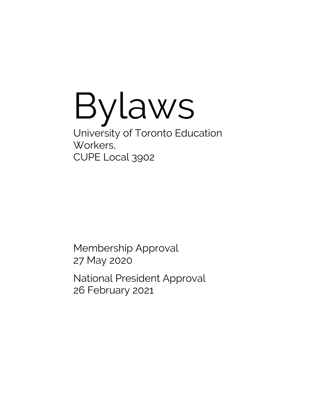Bylaws University of Toronto Education Workers, CUPE Local 3902

Membership Approval 27 May 2020

National President Approval 26 February 2021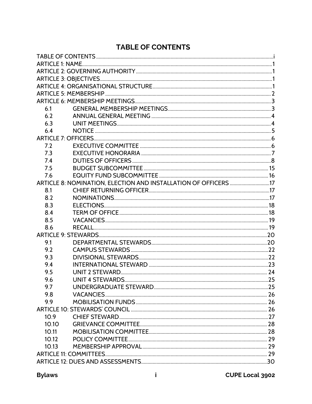# TABLE OF CONTENTS

<span id="page-1-0"></span>

| 6.1                                                             |  |  |
|-----------------------------------------------------------------|--|--|
| 6.2                                                             |  |  |
| 6.3                                                             |  |  |
| 6.4                                                             |  |  |
|                                                                 |  |  |
| 7.2                                                             |  |  |
| 7.3                                                             |  |  |
| 7.4                                                             |  |  |
| 7.5                                                             |  |  |
| 7.6                                                             |  |  |
| ARTICLE 8: NOMINATION, ELECTION AND INSTALLATION OF OFFICERS 17 |  |  |
| 8.1                                                             |  |  |
| 8.2                                                             |  |  |
| 8.3                                                             |  |  |
| 8.4                                                             |  |  |
| 8.5                                                             |  |  |
| 8.6                                                             |  |  |
|                                                                 |  |  |
| 9.1                                                             |  |  |
| 9.2                                                             |  |  |
| 9.3                                                             |  |  |
| 9.4                                                             |  |  |
| 9.5                                                             |  |  |
| 9.6                                                             |  |  |
| 9.7                                                             |  |  |
| 9.8                                                             |  |  |
| 9.9                                                             |  |  |
|                                                                 |  |  |
| 10.9                                                            |  |  |
| 10.10                                                           |  |  |
| 10.11                                                           |  |  |
| 10.12                                                           |  |  |
| 10.13                                                           |  |  |
|                                                                 |  |  |
|                                                                 |  |  |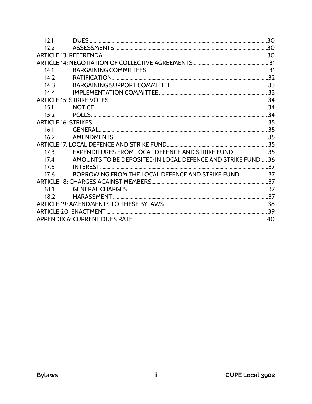| 121             |                                                             |  |
|-----------------|-------------------------------------------------------------|--|
| 122             |                                                             |  |
|                 |                                                             |  |
|                 |                                                             |  |
| 141             |                                                             |  |
| 14 <sub>2</sub> |                                                             |  |
| 143             |                                                             |  |
| 144             |                                                             |  |
|                 |                                                             |  |
| 15.1            |                                                             |  |
| 15.2            |                                                             |  |
|                 |                                                             |  |
| 16.1            |                                                             |  |
| 16.2            |                                                             |  |
|                 |                                                             |  |
| 17 <sub>3</sub> | EXPENDITURES FROM LOCAL DEFENCE AND STRIKE FUND 35          |  |
| 17 <sub>4</sub> | AMOUNTS TO BE DEPOSITED IN LOCAL DEFENCE AND STRIKE FUND 36 |  |
| 17 <sub>5</sub> |                                                             |  |
| 17.6            | BORROWING FROM THE LOCAL DEFENCE AND STRIKE FUND37          |  |
|                 |                                                             |  |
| 18.1            |                                                             |  |
| 18.2            |                                                             |  |
|                 |                                                             |  |
|                 |                                                             |  |
|                 |                                                             |  |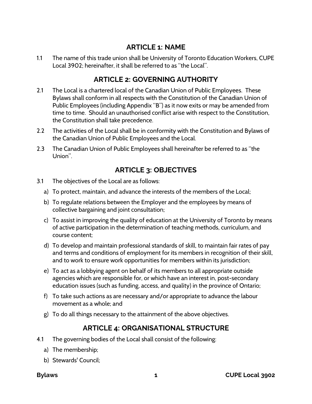# **ARTICLE 1: NAME**

<span id="page-3-0"></span>1.1 The name of this trade union shall be University of Toronto Education Workers, CUPE Local 3902; hereinafter, it shall be referred to as "the Local".

# **ARTICLE 2: GOVERNING AUTHORITY**

- <span id="page-3-1"></span>2.1 The Local is a chartered local of the Canadian Union of Public Employees. These Bylaws shall conform in all respects with the Constitution of the Canadian Union of Public Employees (including Appendix "B") as it now exits or may be amended from time to time. Should an unauthorised conflict arise with respect to the Constitution, the Constitution shall take precedence.
- 2.2 The activities of the Local shall be in conformity with the Constitution and Bylaws of the Canadian Union of Public Employees and the Local.
- 2.3 The Canadian Union of Public Employees shall hereinafter be referred to as "the Union".

### **ARTICLE 3: OBJECTIVES**

- <span id="page-3-2"></span>3.1 The objectives of the Local are as follows:
	- a) To protect, maintain, and advance the interests of the members of the Local;
	- b) To regulate relations between the Employer and the employees by means of collective bargaining and joint consultation;
	- c) To assist in improving the quality of education at the University of Toronto by means of active participation in the determination of teaching methods, curriculum, and course content;
	- d) To develop and maintain professional standards of skill, to maintain fair rates of pay and terms and conditions of employment for its members in recognition of their skill, and to work to ensure work opportunities for members within its jurisdiction;
	- e) To act as a lobbying agent on behalf of its members to all appropriate outside agencies which are responsible for, or which have an interest in, post-secondary education issues (such as funding, access, and quality) in the province of Ontario;
	- f) To take such actions as are necessary and/or appropriate to advance the labour movement as a whole; and
	- g) To do all things necessary to the attainment of the above objectives.

### **ARTICLE 4: ORGANISATIONAL STRUCTURE**

- <span id="page-3-3"></span>4.1 The governing bodies of the Local shall consist of the following:
	- a) The membership;
	- b) Stewards' Council;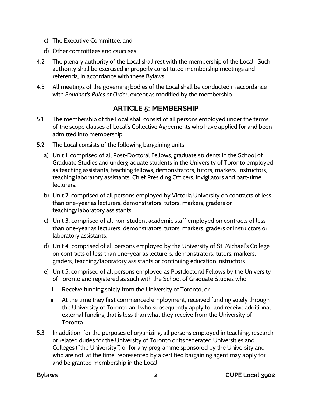- c) The Executive Committee; and
- d) Other committees and caucuses.
- 4.2 The plenary authority of the Local shall rest with the membership of the Local. Such authority shall be exercised in properly constituted membership meetings and referenda, in accordance with these Bylaws.
- 4.3 All meetings of the governing bodies of the Local shall be conducted in accordance with *Bourinot's Rules of Order*, except as modified by the membership.

# **ARTICLE 5: MEMBERSHIP**

- <span id="page-4-0"></span>5.1 The membership of the Local shall consist of all persons employed under the terms of the scope clauses of Local's Collective Agreements who have applied for and been admitted into membership
- 5.2 The Local consists of the following bargaining units:
	- a) Unit 1, comprised of all Post-Doctoral Fellows, graduate students in the School of Graduate Studies and undergraduate students in the University of Toronto employed as teaching assistants, teaching fellows, demonstrators, tutors, markers, instructors, teaching laboratory assistants, Chief Presiding Officers, invigilators and part-time lecturers.
	- b) Unit 2, comprised of all persons employed by Victoria University on contracts of less than one-year as lecturers, demonstrators, tutors, markers, graders or teaching/laboratory assistants.
	- c) Unit 3, comprised of all non-student academic staff employed on contracts of less than one-year as lecturers, demonstrators, tutors, markers, graders or instructors or laboratory assistants.
	- d) Unit 4, comprised of all persons employed by the University of St. Michael's College on contracts of less than one-year as lecturers, demonstrators, tutors, markers, graders, teaching/laboratory assistants or continuing education instructors.
	- e) Unit 5, comprised of all persons employed as Postdoctoral Fellows by the University of Toronto and registered as such with the School of Graduate Studies who:
		- i. Receive funding solely from the University of Toronto; or
		- ii. At the time they first commenced employment, received funding solely through the University of Toronto and who subsequently apply for and receive additional external funding that is less than what they receive from the University of Toronto.
- 5.3 In addition, for the purposes of organizing, all persons employed in teaching, research or related duties for the University of Toronto or its federated Universities and Colleges ("the University") or for any programme sponsored by the University and who are not, at the time, represented by a certified bargaining agent may apply for and be granted membership in the Local.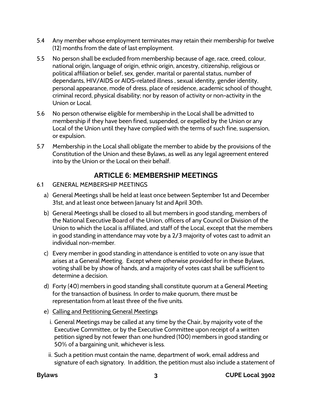- 5.4 Any member whose employment terminates may retain their membership for twelve (12) months from the date of last employment.
- 5.5 No person shall be excluded from membership because of age, race, creed, colour, national origin, language of origin, ethnic origin, ancestry, citizenship, religious or political affiliation or belief, sex, gender, marital or parental status, number of dependants, HIV/AIDS or AIDS-related illness , sexual identity, gender identity, personal appearance, mode of dress, place of residence, academic school of thought, criminal record, physical disability; nor by reason of activity or non-activity in the Union or Local.
- 5.6 No person otherwise eligible for membership in the Local shall be admitted to membership if they have been fined, suspended, or expelled by the Union or any Local of the Union until they have complied with the terms of such fine, suspension, or expulsion.
- 5.7 Membership in the Local shall obligate the member to abide by the provisions of the Constitution of the Union and these Bylaws, as well as any legal agreement entered into by the Union or the Local on their behalf.

# **ARTICLE 6: MEMBERSHIP MEETINGS**

- <span id="page-5-1"></span><span id="page-5-0"></span>6.1 GENERAL MEMBERSHIP MEETINGS
	- a) General Meetings shall be held at least once between September 1st and December 31st, and at least once between January 1st and April 30th.
	- b) General Meetings shall be closed to all but members in good standing, members of the National Executive Board of the Union, officers of any Council or Division of the Union to which the Local is affiliated, and staff of the Local, except that the members in good standing in attendance may vote by a 2/3 majority of votes cast to admit an individual non-member.
	- c) Every member in good standing in attendance is entitled to vote on any issue that arises at a General Meeting. Except where otherwise provided for in these Bylaws, voting shall be by show of hands, and a majority of votes cast shall be sufficient to determine a decision.
	- d) Forty (40) members in good standing shall constitute quorum at a General Meeting for the transaction of business. In order to make quorum, there must be representation from at least three of the five units.
	- e) Calling and Petitioning General Meetings
		- i. General Meetings may be called at any time by the Chair, by majority vote of the Executive Committee, or by the Executive Committee upon receipt of a written petition signed by not fewer than one hundred (100) members in good standing or 50% of a bargaining unit, whichever is less.
		- ii. Such a petition must contain the name, department of work, email address and signature of each signatory. In addition, the petition must also include a statement of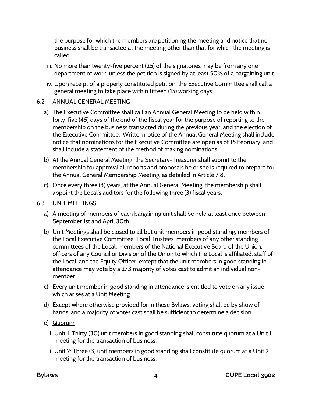the purpose for which the members are petitioning the meeting and notice that no business shall be transacted at the meeting other than that for which the meeting is called.

- iii. No more than twenty-five percent (25) of the signatories may be from any one department of work, unless the petition is signed by at least 50% of a bargaining unit.
- iv. Upon receipt of a properly constituted petition, the Executive Committee shall call a general meeting to take place within fifteen (15) working days.

#### <span id="page-6-0"></span>6.2 ANNUAL GENERAL MEETING

- a) The Executive Committee shall call an Annual General Meeting to be held within forty-five (45) days of the end of the fiscal year for the purpose of reporting to the membership on the business transacted during the previous year, and the election of the Executive Committee. Written notice of the Annual General Meeting shall include notice that nominations for the Executive Committee are open as of 15 February, and shall include a statement of the method of making nominations.
- b) At the Annual General Meeting, the Secretary-Treasurer shall submit to the membership for approval all reports and proposals he or she is required to prepare for the Annual General Membership Meeting, as detailed in Article 7.8.
- c) Once every three (3) years, at the Annual General Meeting, the membership shall appoint the Local's auditors for the following three (3) fiscal years.

#### <span id="page-6-1"></span>6.3 UNIT MEETINGS

- a) A meeting of members of each bargaining unit shall be held at least once between September 1st and April 30th.
- b) Unit Meetings shall be closed to all but unit members in good standing, members of the Local Executive Committee, Local Trustees, members of any other standing committees of the Local, members of the National Executive Board of the Union, officers of any Council or Division of the Union to which the Local is affiliated, staff of the Local, and the Equity Officer, except that the unit members in good standing in attendance may vote by a 2/3 majority of votes cast to admit an individual nonmember.
- c) Every unit member in good standing in attendance is entitled to vote on any issue which arises at a Unit Meeting.
- d) Except where otherwise provided for in these Bylaws, voting shall be by show of hands, and a majority of votes cast shall be sufficient to determine a decision.
- e) Quorum
	- i. Unit 1: Thirty (30) unit members in good standing shall constitute quorum at a Unit 1 meeting for the transaction of business.
	- ii. Unit 2: Three (3) unit members in good standing shall constitute quorum at a Unit 2 meeting for the transaction of business.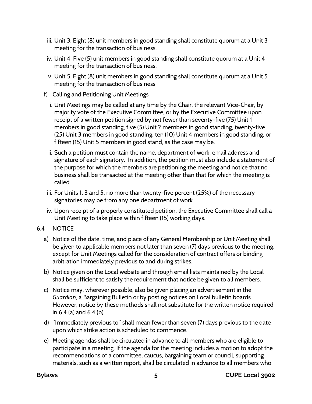- iii. Unit 3: Eight (8) unit members in good standing shall constitute quorum at a Unit 3 meeting for the transaction of business.
- iv. Unit 4: Five (5) unit members in good standing shall constitute quorum at a Unit 4 meeting for the transaction of business.
- v. Unit 5: Eight (8) unit members in good standing shall constitute quorum at a Unit 5 meeting for the transaction of business

### f) Calling and Petitioning Unit Meetings

- i. Unit Meetings may be called at any time by the Chair, the relevant Vice-Chair, by majority vote of the Executive Committee, or by the Executive Committee upon receipt of a written petition signed by not fewer than seventy-five (75) Unit 1 members in good standing, five (5) Unit 2 members in good standing, twenty-five (25) Unit 3 members in good standing, ten (10) Unit 4 members in good standing, or fifteen (15) Unit 5 members in good stand, as the case may be.
- ii. Such a petition must contain the name, department of work, email address and signature of each signatory. In addition, the petition must also include a statement of the purpose for which the members are petitioning the meeting and notice that no business shall be transacted at the meeting other than that for which the meeting is called.
- iii. For Units 1, 3 and 5, no more than twenty-five percent (25%) of the necessary signatories may be from any one department of work.
- iv. Upon receipt of a properly constituted petition, the Executive Committee shall call a Unit Meeting to take place within fifteen (15) working days.

### <span id="page-7-0"></span>6.4 NOTICE

- a) Notice of the date, time, and place of any General Membership or Unit Meeting shall be given to applicable members not later than seven (7) days previous to the meeting, except for Unit Meetings called for the consideration of contract offers or binding arbitration immediately previous to and during strikes.
- b) Notice given on the Local website and through email lists maintained by the Local shall be sufficient to satisfy the requirement that notice be given to all members.
- c) Notice may, wherever possible, also be given placing an advertisement in the *Guardian*, a Bargaining Bulletin or by posting notices on Local bulletin boards. However, notice by these methods shall not substitute for the written notice required in 6.4 (a) and 6.4 (b).
- d) "Immediately previous to" shall mean fewer than seven (7) days previous to the date upon which strike action is scheduled to commence.
- e) Meeting agendas shall be circulated in advance to all members who are eligible to participate in a meeting. If the agenda for the meeting includes a motion to adopt the recommendations of a committee, caucus, bargaining team or council, supporting materials, such as a written report, shall be circulated in advance to all members who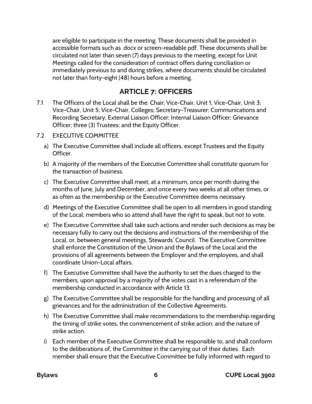are eligible to participate in the meeting. These documents shall be provided in accessible formats such as .docx or screen-readable pdf. These documents shall be circulated not later than seven (7) days previous to the meeting, except for Unit Meetings called for the consideration of contract offers during conciliation or immediately previous to and during strikes, where documents should be circulated not later than forty-eight (48) hours before a meeting.

### **ARTICLE 7: OFFICERS**

<span id="page-8-0"></span>7.1 The Officers of the Local shall be the: Chair; Vice-Chair, Unit 1; Vice-Chair, Unit 3; Vice-Chair, Unit 5; Vice-Chair, Colleges; Secretary-Treasurer; Communications and Recording Secretary; External Liaison Officer; Internal Liaison Officer; Grievance Officer; three (3) Trustees; and the Equity Officer.

#### <span id="page-8-1"></span>7.2 EXECUTIVE COMMITTEE

- a) The Executive Committee shall include all officers, except Trustees and the Equity Officer.
- b) A majority of the members of the Executive Committee shall constitute quorum for the transaction of business.
- c) The Executive Committee shall meet, at a minimum, once per month during the months of June, July and December, and once every two weeks at all other times, or as often as the membership or the Executive Committee deems necessary.
- d) Meetings of the Executive Committee shall be open to all members in good standing of the Local; members who so attend shall have the right to speak, but not to vote.
- e) The Executive Committee shall take such actions and render such decisions as may be necessary fully to carry out the decisions and instructions of the membership of the Local, or, between general meetings, Stewards' Council. The Executive Committee shall enforce the Constitution of the Union and the Bylaws of the Local and the provisions of all agreements between the Employer and the employees, and shall coordinate Union-Local affairs.
- f) The Executive Committee shall have the authority to set the dues charged to the members, upon approval by a majority of the votes cast in a referendum of the membership conducted in accordance with Article 13.
- g) The Executive Committee shall be responsible for the handling and processing of all grievances and for the administration of the Collective Agreements.
- h) The Executive Committee shall make recommendations to the membership regarding the timing of strike votes, the commencement of strike action, and the nature of strike action.
- i) Each member of the Executive Committee shall be responsible to, and shall conform to the deliberations of, the Committee in the carrying out of their duties. Each member shall ensure that the Executive Committee be fully informed with regard to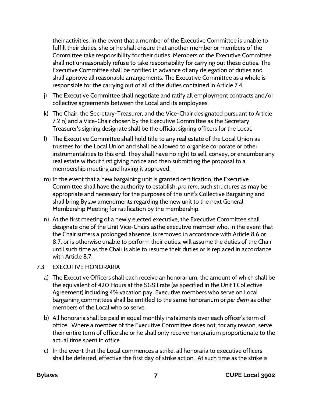their activities. In the event that a member of the Executive Committee is unable to fulfill their duties, she or he shall ensure that another member or members of the Committee take responsibility for their duties. Members of the Executive Committee shall not unreasonably refuse to take responsibility for carrying out these duties. The Executive Committee shall be notified in advance of any delegation of duties and shall approve all reasonable arrangements. The Executive Committee as a whole is responsible for the carrying out of all of the duties contained in Article 7.4.

- j) The Executive Committee shall negotiate and ratify all employment contracts and/or collective agreements between the Local and its employees.
- k) The Chair, the Secretary-Treasurer, and the Vice-Chair designated pursuant to Article 7.2 n) and a Vice-Chair chosen by the Executive Committee as the Secretary Treasurer's signing designate shall be the official signing officers for the Local.
- l) The Executive Committee shall hold title to any real estate of the Local Union as trustees for the Local Union and shall be allowed to organise corporate or other instrumentalities to this end. They shall have no right to sell, convey, or encumber any real estate without first giving notice and then submitting the proposal to a membership meeting and having it approved.
- m) In the event that a new bargaining unit is granted certification, the Executive Committee shall have the authority to establish, *pro tem*, such structures as may be appropriate and necessary for the purposes of this unit's Collective Bargaining and shall bring Bylaw amendments regarding the new unit to the next General Membership Meeting for ratification by the membership.
- n) At the first meeting of a newly elected executive, the Executive Committee shall designate one of the Unit Vice-Chairs asthe executive member who, in the event that the Chair suffers a prolonged absence, is removed in accordance with Article 8.6 or 8.7, or is otherwise unable to perform their duties, will assume the duties of the Chair until such time as the Chair is able to resume their duties or is replaced in accordance with Article 8.7.

### <span id="page-9-0"></span>7.3 EXECUTIVE HONORARIA

- a) The Executive Officers shall each receive an honorarium, the amount of which shall be the equivalent of 420 Hours at the SGSII rate (as specified in the Unit 1 Collective Agreement) including 4% vacation pay. Executive members who serve on Local bargaining committees shall be entitled to the same honorarium or *per diem* as other members of the Local who so serve.
- b) All honoraria shall be paid in equal monthly instalments over each officer's term of office. Where a member of the Executive Committee does not, for any reason, serve their entire term of office she or he shall only receive honorarium proportionate to the actual time spent in office.
- c) In the event that the Local commences a strike, all honoraria to executive officers shall be deferred, effective the first day of strike action. At such time as the strike is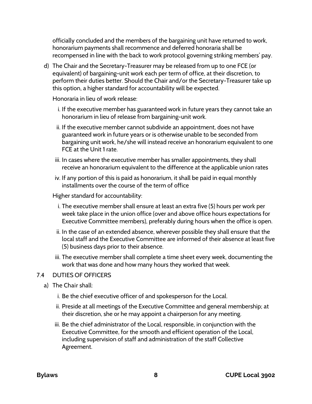officially concluded and the members of the bargaining unit have returned to work, honorarium payments shall recommence and deferred honoraria shall be recompensed in line with the back to work protocol governing striking members' pay.

d) The Chair and the Secretary-Treasurer may be released from up to one FCE (or equivalent) of bargaining-unit work each per term of office, at their discretion, to perform their duties better. Should the Chair and/or the Secretary-Treasurer take up this option, a higher standard for accountability will be expected.

Honoraria in lieu of work release:

- i. If the executive member has guaranteed work in future years they cannot take an honorarium in lieu of release from bargaining-unit work.
- ii. If the executive member cannot subdivide an appointment, does not have guaranteed work in future years or is otherwise unable to be seconded from bargaining unit work, he/she will instead receive an honorarium equivalent to one FCE at the Unit 1 rate.
- iii. In cases where the executive member has smaller appointments, they shall receive an honorarium equivalent to the difference at the applicable union rates
- iv. If any portion of this is paid as honorarium, it shall be paid in equal monthly installments over the course of the term of office

Higher standard for accountability:

- i. The executive member shall ensure at least an extra five (5) hours per work per week take place in the union office (over and above office hours expectations for Executive Committee members), preferably during hours when the office is open.
- ii. In the case of an extended absence, wherever possible they shall ensure that the local staff and the Executive Committee are informed of their absence at least five (5) business days prior to their absence.
- iii. The executive member shall complete a time sheet every week, documenting the work that was done and how many hours they worked that week.

### <span id="page-10-0"></span>7.4 DUTIES OF OFFICERS

- a) The Chair shall:
	- i. Be the chief executive officer of and spokesperson for the Local.
	- ii. Preside at all meetings of the Executive Committee and general membership; at their discretion, she or he may appoint a chairperson for any meeting.
	- iii. Be the chief administrator of the Local, responsible, in conjunction with the Executive Committee, for the smooth and efficient operation of the Local, including supervision of staff and administration of the staff Collective Agreement.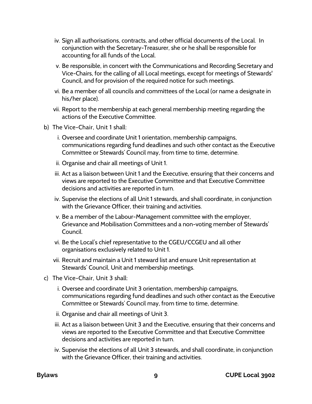- iv. Sign all authorisations, contracts, and other official documents of the Local. In conjunction with the Secretary-Treasurer, she or he shall be responsible for accounting for all funds of the Local.
- v. Be responsible, in concert with the Communications and Recording Secretary and Vice-Chairs, for the calling of all Local meetings, except for meetings of Stewards' Council, and for provision of the required notice for such meetings.
- vi. Be a member of all councils and committees of the Local (or name a designate in his/her place).
- vii. Report to the membership at each general membership meeting regarding the actions of the Executive Committee.
- b) The Vice-Chair, Unit 1 shall:
	- i. Oversee and coordinate Unit 1 orientation, membership campaigns, communications regarding fund deadlines and such other contact as the Executive Committee or Stewards' Council may, from time to time, determine.
	- ii. Organise and chair all meetings of Unit 1.
	- iii. Act as a liaison between Unit 1 and the Executive, ensuring that their concerns and views are reported to the Executive Committee and that Executive Committee decisions and activities are reported in turn.
	- iv. Supervise the elections of all Unit 1 stewards, and shall coordinate, in conjunction with the Grievance Officer, their training and activities.
	- v. Be a member of the Labour-Management committee with the employer, Grievance and Mobilisation Committees and a non-voting member of Stewards' Council.
	- vi. Be the Local's chief representative to the CGEU/CCGEU and all other organisations exclusively related to Unit 1.
	- vii. Recruit and maintain a Unit 1 steward list and ensure Unit representation at Stewards' Council, Unit and membership meetings.
- c) The Vice-Chair, Unit 3 shall:
	- i. Oversee and coordinate Unit 3 orientation, membership campaigns, communications regarding fund deadlines and such other contact as the Executive Committee or Stewards' Council may, from time to time, determine.
	- ii. Organise and chair all meetings of Unit 3.
	- iii. Act as a liaison between Unit 3 and the Executive, ensuring that their concerns and views are reported to the Executive Committee and that Executive Committee decisions and activities are reported in turn.
	- iv. Supervise the elections of all Unit 3 stewards, and shall coordinate, in conjunction with the Grievance Officer, their training and activities.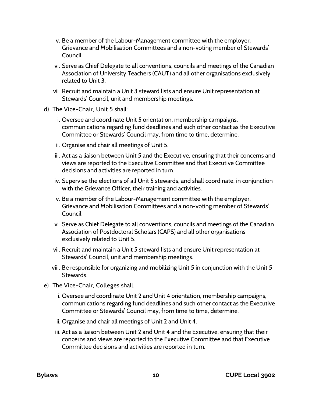- v. Be a member of the Labour-Management committee with the employer, Grievance and Mobilisation Committees and a non-voting member of Stewards' Council.
- vi. Serve as Chief Delegate to all conventions, councils and meetings of the Canadian Association of University Teachers (CAUT) and all other organisations exclusively related to Unit 3.
- vii. Recruit and maintain a Unit 3 steward lists and ensure Unit representation at Stewards' Council, unit and membership meetings.
- d) The Vice-Chair, Unit 5 shall:
	- i. Oversee and coordinate Unit 5 orientation, membership campaigns, communications regarding fund deadlines and such other contact as the Executive Committee or Stewards' Council may, from time to time, determine.
	- ii. Organise and chair all meetings of Unit 5.
	- iii. Act as a liaison between Unit 5 and the Executive, ensuring that their concerns and views are reported to the Executive Committee and that Executive Committee decisions and activities are reported in turn.
	- iv. Supervise the elections of all Unit 5 stewards, and shall coordinate, in conjunction with the Grievance Officer, their training and activities.
	- v. Be a member of the Labour-Management committee with the employer, Grievance and Mobilisation Committees and a non-voting member of Stewards' Council.
	- vi. Serve as Chief Delegate to all conventions, councils and meetings of the Canadian Association of Postdoctoral Scholars (CAPS) and all other organisations exclusively related to Unit 5.
	- vii. Recruit and maintain a Unit 5 steward lists and ensure Unit representation at Stewards' Council, unit and membership meetings.
	- viii. Be responsible for organizing and mobilizing Unit 5 in conjunction with the Unit 5 Stewards.
- e) The Vice-Chair, Colleges shall:
	- i. Oversee and coordinate Unit 2 and Unit 4 orientation, membership campaigns, communications regarding fund deadlines and such other contact as the Executive Committee or Stewards' Council may, from time to time, determine.
	- ii. Organise and chair all meetings of Unit 2 and Unit 4.
	- iii. Act as a liaison between Unit 2 and Unit 4 and the Executive, ensuring that their concerns and views are reported to the Executive Committee and that Executive Committee decisions and activities are reported in turn.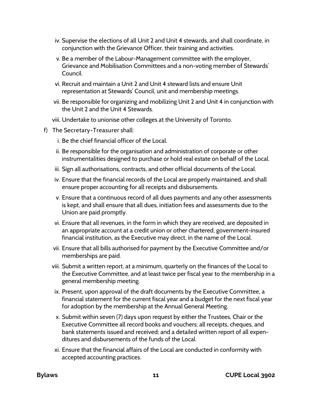- iv. Supervise the elections of all Unit 2 and Unit 4 stewards, and shall coordinate, in conjunction with the Grievance Officer, their training and activities.
- v. Be a member of the Labour-Management committee with the employer, Grievance and Mobilisation Committees and a non-voting member of Stewards' Council.
- vi. Recruit and maintain a Unit 2 and Unit 4 steward lists and ensure Unit representation at Stewards' Council, unit and membership meetings.
- vii. Be responsible for organizing and mobilizing Unit 2 and Unit 4 in conjunction with the Unit 2 and the Unit 4 Stewards.
- viii. Undertake to unionise other colleges at the University of Toronto.
- f) The Secretary-Treasurer shall:
	- i. Be the chief financial officer of the Local.
	- ii. Be responsible for the organisation and administration of corporate or other instrumentalities designed to purchase or hold real estate on behalf of the Local.
	- iii. Sign all authorisations, contracts, and other official documents of the Local.
	- iv. Ensure that the financial records of the Local are properly maintained, and shall ensure proper accounting for all receipts and disbursements.
	- v. Ensure that a continuous record of all dues payments and any other assessments is kept, and shall ensure that all dues, initiation fees and assessments due to the Union are paid promptly.
	- vi. Ensure that all revenues, in the form in which they are received, are deposited in an appropriate account at a credit union or other chartered, government-insured financial institution, as the Executive may direct, in the name of the Local.
	- vii. Ensure that all bills authorised for payment by the Executive Committee and/or memberships are paid.
	- viii. Submit a written report, at a minimum, quarterly on the finances of the Local to the Executive Committee, and at least twice per fiscal year to the membership in a general membership meeting.
	- ix. Present, upon approval of the draft documents by the Executive Committee, a financial statement for the current fiscal year and a budget for the next fiscal year for adoption by the membership at the Annual General Meeting.
	- x. Submit within seven (7) days upon request by either the Trustees, Chair or the Executive Committee all record books and vouchers; all receipts, cheques, and bank statements issued and received; and a detailed written report of all expenditures and disbursements of the funds of the Local.
	- xi. Ensure that the financial affairs of the Local are conducted in conformity with accepted accounting practices.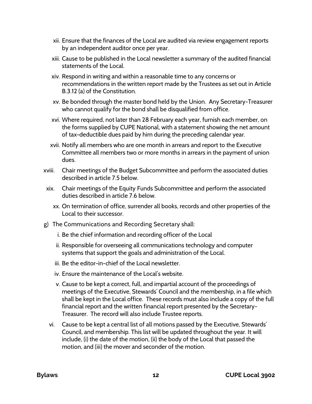- xii. Ensure that the finances of the Local are audited via review engagement reports by an independent auditor once per year.
- xiii. Cause to be published in the Local newsletter a summary of the audited financial statements of the Local.
- xiv. Respond in writing and within a reasonable time to any concerns or recommendations in the written report made by the Trustees as set out in Article B.3.12 (a) of the Constitution.
- xv. Be bonded through the master bond held by the Union. Any Secretary-Treasurer who cannot qualify for the bond shall be disqualified from office.
- xvi. Where required, not later than 28 February each year, furnish each member, on the forms supplied by CUPE National, with a statement showing the net amount of tax-deductible dues paid by him during the preceding calendar year.
- xvii. Notify all members who are one month in arrears and report to the Executive Committee all members two or more months in arrears in the payment of union dues.
- xviii. Chair meetings of the Budget Subcommittee and perform the associated duties described in article 7.5 below.
- xix. Chair meetings of the Equity Funds Subcommittee and perform the associated duties described in article 7.6 below.
	- xx. On termination of office, surrender all books, records and other properties of the Local to their successor.
- g) The Communications and Recording Secretary shall:
	- i. Be the chief information and recording officer of the Local
	- ii. Responsible for overseeing all communications technology and computer systems that support the goals and administration of the Local.
	- iii. Be the editor-in-chief of the Local newsletter.
	- iv. Ensure the maintenance of the Local's website.
	- v. Cause to be kept a correct, full, and impartial account of the proceedings of meetings of the Executive, Stewards' Council and the membership, in a file which shall be kept in the Local office. These records must also include a copy of the full financial report and the written financial report presented by the Secretary-Treasurer. The record will also include Trustee reports.
	- vi. Cause to be kept a central list of all motions passed by the Executive, Stewards' Council, and membership. This list will be updated throughout the year. It will include, (i) the date of the motion, (ii) the body of the Local that passed the motion, and (iii) the mover and seconder of the motion.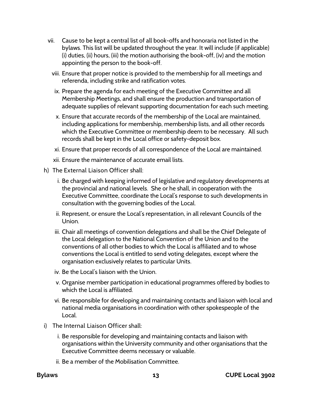- vii. Cause to be kept a central list of all book-offs and honoraria not listed in the bylaws. This list will be updated throughout the year. It will include (if applicable) (i) duties, (ii) hours, (iii) the motion authorising the book-off, (iv) and the motion appointing the person to the book-off.
	- viii. Ensure that proper notice is provided to the membership for all meetings and referenda, including strike and ratification votes.
	- ix. Prepare the agenda for each meeting of the Executive Committee and all Membership Meetings, and shall ensure the production and transportation of adequate supplies of relevant supporting documentation for each such meeting.
	- x. Ensure that accurate records of the membership of the Local are maintained, including applications for membership, membership lists, and all other records which the Executive Committee or membership deem to be necessary. All such records shall be kept in the Local office or safety-deposit box.
	- xi. Ensure that proper records of all correspondence of the Local are maintained.
	- xii. Ensure the maintenance of accurate email lists.
- h) The External Liaison Officer shall:
	- i. Be charged with keeping informed of legislative and regulatory developments at the provincial and national levels. She or he shall, in cooperation with the Executive Committee, coordinate the Local's response to such developments in consultation with the governing bodies of the Local.
	- ii. Represent, or ensure the Local's representation, in all relevant Councils of the Union.
	- iii. Chair all meetings of convention delegations and shall be the Chief Delegate of the Local delegation to the National Convention of the Union and to the conventions of all other bodies to which the Local is affiliated and to whose conventions the Local is entitled to send voting delegates, except where the organisation exclusively relates to particular Units.
	- iv. Be the Local's liaison with the Union.
	- v. Organise member participation in educational programmes offered by bodies to which the Local is affiliated.
	- vi. Be responsible for developing and maintaining contacts and liaison with local and national media organisations in coordination with other spokespeople of the Local.
- i) The Internal Liaison Officer shall:
	- i. Be responsible for developing and maintaining contacts and liaison with organisations within the University community and other organisations that the Executive Committee deems necessary or valuable.
	- ii. Be a member of the Mobilisation Committee.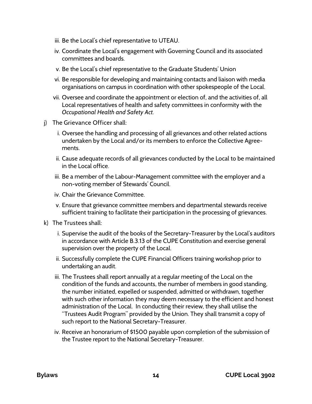- iii. Be the Local's chief representative to UTEAU.
- iv. Coordinate the Local's engagement with Governing Council and its associated committees and boards.
- v. Be the Local's chief representative to the Graduate Students' Union
- vi. Be responsible for developing and maintaining contacts and liaison with media organisations on campus in coordination with other spokespeople of the Local.
- vii. Oversee and coordinate the appointment or election of, and the activities of, all Local representatives of health and safety committees in conformity with the *Occupational Health and Safety Act.*
- j) The Grievance Officer shall:
	- i. Oversee the handling and processing of all grievances and other related actions undertaken by the Local and/or its members to enforce the Collective Agreements.
	- ii. Cause adequate records of all grievances conducted by the Local to be maintained in the Local office.
	- iii. Be a member of the Labour-Management committee with the employer and a non-voting member of Stewards' Council.
	- iv. Chair the Grievance Committee.
	- v. Ensure that grievance committee members and departmental stewards receive sufficient training to facilitate their participation in the processing of grievances.
- k) The Trustees shall:
	- i. Supervise the audit of the books of the Secretary-Treasurer by the Local's auditors in accordance with Article B.3.13 of the CUPE Constitution and exercise general supervision over the property of the Local.
	- ii. Successfully complete the CUPE Financial Officers training workshop prior to undertaking an audit.
	- iii. The Trustees shall report annually at a regular meeting of the Local on the condition of the funds and accounts, the number of members in good standing, the number initiated, expelled or suspended, admitted or withdrawn, together with such other information they may deem necessary to the efficient and honest administration of the Local. In conducting their review, they shall utilise the "Trustees Audit Program" provided by the Union. They shall transmit a copy of such report to the National Secretary-Treasurer.
	- iv. Receive an honorarium of \$1500 payable upon completion of the submission of the Trustee report to the National Secretary-Treasurer.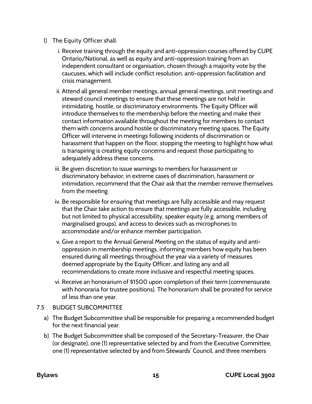- l) The Equity Officer shall:
	- i. Receive training through the equity and anti-oppression courses offered by CUPE Ontario/National, as well as equity and anti-oppression training from an independent consultant or organisation, chosen through a majority vote by the caucuses, which will include conflict resolution, anti-oppression facilitation and crisis management.
	- ii. Attend all general member meetings, annual general meetings, unit meetings and steward council meetings to ensure that these meetings are not held in intimidating, hostile, or discriminatory environments. The Equity Officer will introduce themselves to the membership before the meeting and make their contact information available throughout the meeting for members to contact them with concerns around hostile or discriminatory meeting spaces. The Equity Officer will intervene in meetings following incidents of discrimination or harassment that happen on the floor, stopping the meeting to highlight how what is transpiring is creating equity concerns and request those participating to adequately address these concerns.
	- iii. Be given discretion to issue warnings to members for harassment or discriminatory behavior; in extreme cases of discrimination, harassment or intimidation, recommend that the Chair ask that the member remove themselves from the meeting.
	- iv. Be responsible for ensuring that meetings are fully accessible and may request that the Chair take action to ensure that meetings are fully accessible, including but not limited to physical accessibility, speaker equity (e.g. among members of marginalised groups), and access to devices such as microphones to accommodate and/or enhance member participation.
	- v. Give a report to the Annual General Meeting on the status of equity and antioppression in membership meetings, informing members how equity has been ensured during all meetings throughout the year via a variety of measures deemed appropriate by the Equity Officer, and listing any and all recommendations to create more inclusive and respectful meeting spaces.
	- vi. Receive an honorarium of \$1500 upon completion of their term (commensurate with honoraria for trustee positions). The honorarium shall be prorated for service of less than one year.

### <span id="page-17-0"></span>7.5 BUDGET SUBCOMMITTEE

- a) The Budget Subcommittee shall be responsible for preparing a recommended budget for the next financial year.
- b) The Budget Subcommittee shall be composed of the Secretary-Treasurer, the Chair (or designate), one (1) representative selected by and from the Executive Committee, one (1) representative selected by and from Stewards' Council, and three members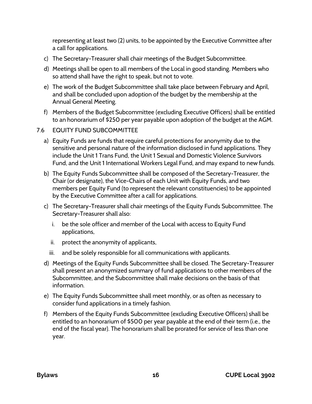representing at least two (2) units, to be appointed by the Executive Committee after a call for applications.

- c) The Secretary-Treasurer shall chair meetings of the Budget Subcommittee.
- d) Meetings shall be open to all members of the Local in good standing. Members who so attend shall have the right to speak, but not to vote.
- e) The work of the Budget Subcommittee shall take place between February and April, and shall be concluded upon adoption of the budget by the membership at the Annual General Meeting.
- f) Members of the Budget Subcommittee (excluding Executive Officers) shall be entitled to an honorarium of \$250 per year payable upon adoption of the budget at the AGM.
- <span id="page-18-0"></span>7.6 EQUITY FUND SUBCOMMITTEE
	- a) Equity Funds are funds that require careful protections for anonymity due to the sensitive and personal nature of the information disclosed in fund applications. They include the Unit 1 Trans Fund, the Unit 1 Sexual and Domestic Violence Survivors Fund, and the Unit 1 International Workers Legal Fund, and may expand to new funds.
	- b) The Equity Funds Subcommittee shall be composed of the Secretary-Treasurer, the Chair (or designate), the Vice-Chairs of each Unit with Equity Funds, and two members per Equity Fund (to represent the relevant constituencies) to be appointed by the Executive Committee after a call for applications.
	- c) The Secretary-Treasurer shall chair meetings of the Equity Funds Subcommittee. The Secretary-Treasurer shall also:
		- i. be the sole officer and member of the Local with access to Equity Fund applications,
		- ii. protect the anonymity of applicants,
		- iii. and be solely responsible for all communications with applicants.
	- d) Meetings of the Equity Funds Subcommittee shall be closed. The Secretary-Treasurer shall present an anonymized summary of fund applications to other members of the Subcommittee, and the Subcommittee shall make decisions on the basis of that information.
	- e) The Equity Funds Subcommittee shall meet monthly, or as often as necessary to consider fund applications in a timely fashion.
	- f) Members of the Equity Funds Subcommittee (excluding Executive Officers) shall be entitled to an honorarium of \$500 per year payable at the end of their term (i.e., the end of the fiscal year). The honorarium shall be prorated for service of less than one year.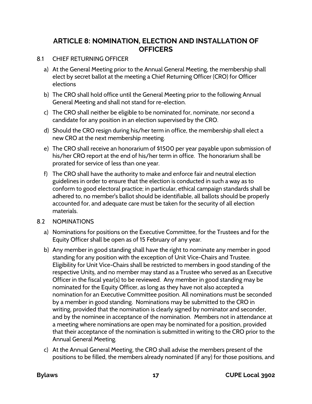## <span id="page-19-0"></span>**ARTICLE 8: NOMINATION, ELECTION AND INSTALLATION OF OFFICERS**

### <span id="page-19-1"></span>8.1 CHIEF RETURNING OFFICER

- a) At the General Meeting prior to the Annual General Meeting, the membership shall elect by secret ballot at the meeting a Chief Returning Officer (CRO) for Officer elections
- b) The CRO shall hold office until the General Meeting prior to the following Annual General Meeting and shall not stand for re-election.
- c) The CRO shall neither be eligible to be nominated for, nominate, nor second a candidate for any position in an election supervised by the CRO.
- d) Should the CRO resign during his/her term in office, the membership shall elect a new CRO at the next membership meeting.
- e) The CRO shall receive an honorarium of \$1500 per year payable upon submission of his/her CRO report at the end of his/her term in office. The honorarium shall be prorated for service of less than one year.
- f) The CRO shall have the authority to make and enforce fair and neutral election guidelines in order to ensure that the election is conducted in such a way as to conform to good electoral practice; in particular, ethical campaign standards shall be adhered to, no member's ballot should be identifiable, all ballots should be properly accounted for, and adequate care must be taken for the security of all election materials.

#### <span id="page-19-2"></span>8.2 NOMINATIONS

- a) Nominations for positions on the Executive Committee, for the Trustees and for the Equity Officer shall be open as of 15 February of any year.
- b) Any member in good standing shall have the right to nominate any member in good standing for any position with the exception of Unit Vice-Chairs and Trustee. Eligibility for Unit Vice-Chairs shall be restricted to members in good standing of the respective Units, and no member may stand as a Trustee who served as an Executive Officer in the fiscal year(s) to be reviewed. Any member in good standing may be nominated for the Equity Officer, as long as they have not also accepted a nomination for an Executive Committee position. All nominations must be seconded by a member in good standing. Nominations may be submitted to the CRO in writing, provided that the nomination is clearly signed by nominator and seconder, and by the nominee in acceptance of the nomination. Members not in attendance at a meeting where nominations are open may be nominated for a position, provided that their acceptance of the nomination is submitted in writing to the CRO prior to the Annual General Meeting.
- c) At the Annual General Meeting, the CRO shall advise the members present of the positions to be filled, the members already nominated (if any) for those positions, and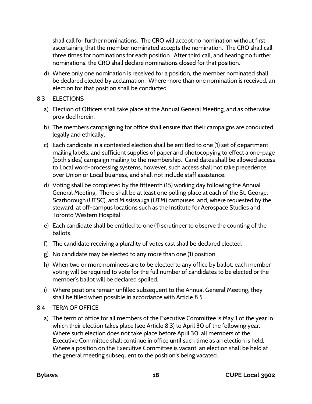shall call for further nominations. The CRO will accept no nomination without first ascertaining that the member nominated accepts the nomination. The CRO shall call three times for nominations for each position. After third call, and hearing no further nominations, the CRO shall declare nominations closed for that position.

- d) Where only one nomination is received for a position, the member nominated shall be declared elected by acclamation. Where more than one nomination is received, an election for that position shall be conducted.
- <span id="page-20-0"></span>8.3 ELECTIONS
	- a) Election of Officers shall take place at the Annual General Meeting, and as otherwise provided herein.
	- b) The members campaigning for office shall ensure that their campaigns are conducted legally and ethically.
	- c) Each candidate in a contested election shall be entitled to one (1) set of department mailing labels, and sufficient supplies of paper and photocopying to effect a one-page (both sides) campaign mailing to the membership. Candidates shall be allowed access to Local word-processing systems; however, such access shall not take precedence over Union or Local business, and shall not include staff assistance.
	- d) Voting shall be completed by the fifteenth (15) working day following the Annual General Meeting. There shall be at least one polling place at each of the St. George, Scarborough (UTSC), and Mississauga (UTM) campuses, and, where requested by the steward, at off-campus locations such as the Institute for Aerospace Studies and Toronto Western Hospital.
	- e) Each candidate shall be entitled to one (1) scrutineer to observe the counting of the ballots.
	- f) The candidate receiving a plurality of votes cast shall be declared elected.
	- g) No candidate may be elected to any more than one (1) position.
	- h) When two or more nominees are to be elected to any office by ballot, each member voting will be required to vote for the full number of candidates to be elected or the member's ballot will be declared spoiled.
	- i) Where positions remain unfilled subsequent to the Annual General Meeting, they shall be filled when possible in accordance with Article 8.5.
- <span id="page-20-1"></span>8.4 TERM OF OFFICE
	- a) The term of office for all members of the Executive Committee is May 1 of the year in which their election takes place (see Article 8.3) to April 30 of the following year. Where such election does not take place before April 30, all members of the Executive Committee shall continue in office until such time as an election is held. Where a position on the Executive Committee is vacant, an election shall be held at the general meeting subsequent to the position's being vacated.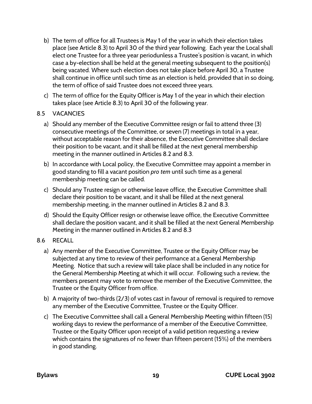- b) The term of office for all Trustees is May 1 of the year in which their election takes place (see Article 8.3) to April 30 of the third year following. Each year the Local shall elect one Trustee for a three year periodunless a Trustee's position is vacant, in which case a by-election shall be held at the general meeting subsequent to the position(s) being vacated. Where such election does not take place before April 30, a Trustee shall continue in office until such time as an election is held, provided that in so doing, the term of office of said Trustee does not exceed three years.
- c) The term of office for the Equity Officer is May 1 of the year in which their election takes place (see Article 8.3) to April 30 of the following year.

### <span id="page-21-0"></span>8.5 VACANCIES

- a) Should any member of the Executive Committee resign or fail to attend three (3) consecutive meetings of the Committee, or seven (7) meetings in total in a year, without acceptable reason for their absence, the Executive Committee shall declare their position to be vacant, and it shall be filled at the next general membership meeting in the manner outlined in Articles 8.2 and 8.3.
- b) In accordance with Local policy, the Executive Committee may appoint a member in good standing to fill a vacant position *pro tem* until such time as a general membership meeting can be called.
- c) Should any Trustee resign or otherwise leave office, the Executive Committee shall declare their position to be vacant, and it shall be filled at the next general membership meeting, in the manner outlined in Articles 8.2 and 8.3.
- d) Should the Equity Officer resign or otherwise leave office, the Executive Committee shall declare the position vacant, and it shall be filled at the next General Membership Meeting in the manner outlined in Articles 8.2 and 8.3
- <span id="page-21-1"></span>8.6 RECALL
	- a) Any member of the Executive Committee, Trustee or the Equity Officer may be subjected at any time to review of their performance at a General Membership Meeting. Notice that such a review will take place shall be included in any notice for the General Membership Meeting at which it will occur. Following such a review, the members present may vote to remove the member of the Executive Committee, the Trustee or the Equity Officer from office.
	- b) A majority of two-thirds (2/3) of votes cast in favour of removal is required to remove any member of the Executive Committee, Trustee or the Equity Officer.
	- c) The Executive Committee shall call a General Membership Meeting within fifteen (15) working days to review the performance of a member of the Executive Committee, Trustee or the Equity Officer upon receipt of a valid petition requesting a review which contains the signatures of no fewer than fifteen percent (15%) of the members in good standing.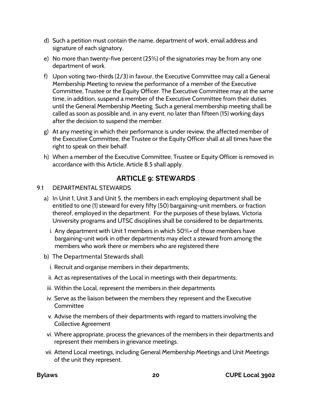- d) Such a petition must contain the name, department of work, email address and signature of each signatory.
- e) No more than twenty-five percent (25%) of the signatories may be from any one department of work.
- f) Upon voting two-thirds (2/3) in favour, the Executive Committee may call a General Membership Meeting to review the performance of a member of the Executive Committee, Trustee or the Equity Officer. The Executive Committee may at the same time, in addition, suspend a member of the Executive Committee from their duties until the General Membership Meeting. Such a general membership meeting shall be called as soon as possible and, in any event, no later than fifteen (15) working days after the decision to suspend the member.
- g) At any meeting in which their performance is under review, the affected member of the Executive Committee, the Trustee or the Equity Officer shall at all times have the right to speak on their behalf.
- h) When a member of the Executive Committee, Trustee or Equity Officer is removed in accordance with this Article, Article 8.5 shall apply.

# **ARTICLE 9: STEWARDS**

### <span id="page-22-1"></span><span id="page-22-0"></span>9.1 DEPARTMENTAL STEWARDS

- a) In Unit 1, Unit 3 and Unit 5, the members in each employing department shall be entitled to one (1) steward for every fifty (50) bargaining-unit members, or fraction thereof, employed in the department. For the purposes of these bylaws, Victoria University programs and UTSC disciplines shall be considered to be departments.
	- i. Any department with Unit 1 members in which 50%+ of those members have bargaining-unit work in other departments may elect a steward from among the members who work there or members who are registered there
- b) The Departmental Stewards shall:
	- i. Recruit and organise members in their departments;
	- ii. Act as representatives of the Local in meetings with their departments;
- iii. Within the Local, represent the members in their departments
- iv. Serve as the liaison between the members they represent and the Executive **Committee**
- v. Advise the members of their departments with regard to matters involving the Collective Agreement
- vi. Where appropriate, process the grievances of the members in their departments and represent their members in grievance meetings.
- vii. Attend Local meetings, including General Membership Meetings and Unit Meetings of the unit they represent.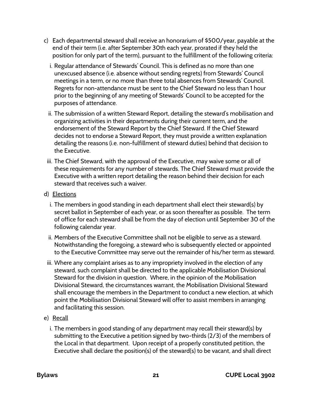- c) Each departmental steward shall receive an honorarium of \$500/year, payable at the end of their term (i.e. after September 30th each year, prorated if they held the position for only part of the term), pursuant to the fulfillment of the following criteria:
	- i. Regular attendance of Stewards' Council. This is defined as no more than one unexcused absence (i.e. absence without sending regrets) from Stewards' Council meetings in a term, or no more than three total absences from Stewards' Council. Regrets for non-attendance must be sent to the Chief Steward no less than 1 hour prior to the beginning of any meeting of Stewards' Council to be accepted for the purposes of attendance.
	- ii. The submission of a written Steward Report, detailing the steward's mobilisation and organizing activities in their departments during their current term, and the endorsement of the Steward Report by the Chief Steward. If the Chief Steward decides not to endorse a Steward Report, they must provide a written explanation detailing the reasons (i.e. non-fulfillment of steward duties) behind that decision to the Executive.
- iii. The Chief Steward, with the approval of the Executive, may waive some or all of these requirements for any number of stewards. The Chief Steward must provide the Executive with a written report detailing the reason behind their decision for each steward that receives such a waiver.
- d) Elections
	- i. The members in good standing in each department shall elect their steward(s) by secret ballot in September of each year, or as soon thereafter as possible. The term of office for each steward shall be from the day of election until September 30 of the following calendar year.
	- ii. Members of the Executive Committee shall not be eligible to serve as a steward. Notwithstanding the foregoing, a steward who is subsequently elected or appointed to the Executive Committee may serve out the remainder of his/her term as steward.
- iii. Where any complaint arises as to any impropriety involved in the election of any steward, such complaint shall be directed to the applicable Mobilisation Divisional Steward for the division in question. Where, in the opinion of the Mobilisation Divisional Steward, the circumstances warrant, the Mobilisation Divisional Steward shall encourage the members in the Department to conduct a new election, at which point the Mobilisation Divisional Steward will offer to assist members in arranging and facilitating this session.
- e) Recall
	- i. The members in good standing of any department may recall their steward(s) by submitting to the Executive a petition signed by two-thirds (2/3) of the members of the Local in that department. Upon receipt of a properly constituted petition, the Executive shall declare the position(s) of the steward(s) to be vacant, and shall direct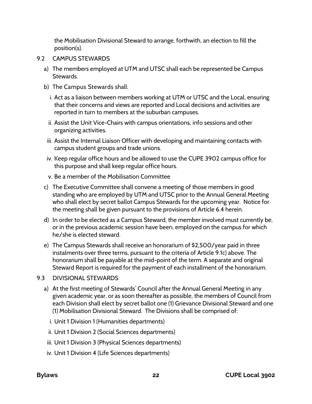the Mobilisation Divisional Steward to arrange, forthwith, an election to fill the position(s).

- <span id="page-24-0"></span>9.2 CAMPUS STEWARDS
	- a) The members employed at UTM and UTSC shall each be represented be Campus Stewards.
	- b) The Campus Stewards shall:
		- i. Act as a liaison between members working at UTM or UTSC and the Local, ensuring that their concerns and views are reported and Local decisions and activities are reported in turn to members at the suburban campuses.
		- ii. Assist the Unit Vice-Chairs with campus orientations, info sessions and other organizing activities.
	- iii. Assist the Internal Liaison Officer with developing and maintaining contacts with campus student groups and trade unions.
	- iv. Keep regular office hours and be allowed to use the CUPE 3902 campus office for this purpose and shall keep regular office hours.
	- v. Be a member of the Mobilisation Committee
	- c) The Executive Committee shall convene a meeting of those members in good standing who are employed by UTM and UTSC prior to the Annual General Meeting who shall elect by secret ballot Campus Stewards for the upcoming year. Notice for the meeting shall be given pursuant to the provisions of Article 6.4 herein.
	- d) In order to be elected as a Campus Steward, the member involved must currently be, or in the previous academic session have been, employed on the campus for which he/she is elected steward.
	- e) The Campus Stewards shall receive an honorarium of \$2,500/year paid in three instalments over three terms, pursuant to the criteria of Article 9.1c) above. The honorarium shall be payable at the mid-point of the term. A separate and original Steward Report is required for the payment of each installment of the honorarium.
- <span id="page-24-1"></span>9.3 DIVISIONAL STEWARDS
	- a) At the first meeting of Stewards' Council after the Annual General Meeting in any given academic year, or as soon thereafter as possible, the members of Council from each Division shall elect by secret ballot one (1) Grievance Divisional Steward and one (1) Mobilisation Divisional Steward. The Divisions shall be comprised of:
		- i. Unit 1 Division 1 (Humanities departments)
		- ii. Unit 1 Division 2 (Social Sciences departments)
	- iii. Unit 1 Division 3 (Physical Sciences departments)
	- iv. Unit 1 Division 4 (Life Sciences departments)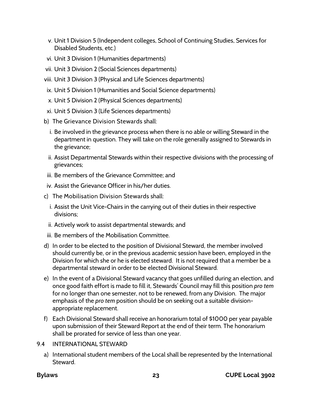- v. Unit 1 Division 5 (Independent colleges, School of Continuing Studies, Services for Disabled Students, etc.)
- vi. Unit 3 Division 1 (Humanities departments)
- vii. Unit 3 Division 2 (Social Sciences departments)
- viii. Unit 3 Division 3 (Physical and Life Sciences departments)
- ix. Unit 5 Division 1 (Humanities and Social Science departments)
- x. Unit 5 Division 2 (Physical Sciences departments)
- xi. Unit 5 Division 3 (Life Sciences departments)
- b) The Grievance Division Stewards shall:
	- i. Be involved in the grievance process when there is no able or willing Steward in the department in question. They will take on the role generally assigned to Stewards in the grievance;
	- ii. Assist Departmental Stewards within their respective divisions with the processing of grievances;
- iii. Be members of the Grievance Committee; and
- iv. Assist the Grievance Officer in his/her duties.
- c) The Mobilisation Division Stewards shall:
	- i. Assist the Unit Vice-Chairs in the carrying out of their duties in their respective divisions;
	- ii. Actively work to assist departmental stewards; and
- iii. Be members of the Mobilisation Committee.
- d) In order to be elected to the position of Divisional Steward, the member involved should currently be, or in the previous academic session have been, employed in the Division for which she or he is elected steward. It is not required that a member be a departmental steward in order to be elected Divisional Steward.
- e) In the event of a Divisional Steward vacancy that goes unfilled during an election, and once good faith effort is made to fill it, Stewards' Council may fill this position *pro tem* for no longer than one semester, not to be renewed, from any Division. The major emphasis of the *pro tem* position should be on seeking out a suitable divisionappropriate replacement.
- f) Each Divisional Steward shall receive an honorarium total of \$1000 per year payable upon submission of their Steward Report at the end of their term. The honorarium shall be prorated for service of less than one year.
- <span id="page-25-0"></span>9.4 INTERNATIONAL STEWARD
	- a) International student members of the Local shall be represented by the International Steward.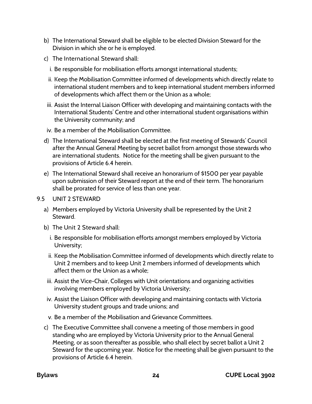- b) The International Steward shall be eligible to be elected Division Steward for the Division in which she or he is employed.
- c) The International Steward shall:
	- i. Be responsible for mobilisation efforts amongst international students;
	- ii. Keep the Mobilisation Committee informed of developments which directly relate to international student members and to keep international student members informed of developments which affect them or the Union as a whole;
- iii. Assist the Internal Liaison Officer with developing and maintaining contacts with the International Students' Centre and other international student organisations within the University community; and
- iv. Be a member of the Mobilisation Committee.
- d) The International Steward shall be elected at the first meeting of Stewards' Council after the Annual General Meeting by secret ballot from amongst those stewards who are international students. Notice for the meeting shall be given pursuant to the provisions of Article 6.4 herein.
- e) The International Steward shall receive an honorarium of \$1500 per year payable upon submission of their Steward report at the end of their term. The honorarium shall be prorated for service of less than one year.
- <span id="page-26-0"></span>9.5 UNIT 2 STEWARD
	- a) Members employed by Victoria University shall be represented by the Unit 2 **Steward**
	- b) The Unit 2 Steward shall:
		- i. Be responsible for mobilisation efforts amongst members employed by Victoria University;
		- ii. Keep the Mobilisation Committee informed of developments which directly relate to Unit 2 members and to keep Unit 2 members informed of developments which affect them or the Union as a whole;
	- iii. Assist the Vice-Chair, Colleges with Unit orientations and organizing activities involving members employed by Victoria University;
	- iv. Assist the Liaison Officer with developing and maintaining contacts with Victoria University student groups and trade unions; and
	- v. Be a member of the Mobilisation and Grievance Committees.
	- c) The Executive Committee shall convene a meeting of those members in good standing who are employed by Victoria University prior to the Annual General Meeting, or as soon thereafter as possible, who shall elect by secret ballot a Unit 2 Steward for the upcoming year. Notice for the meeting shall be given pursuant to the provisions of Article 6.4 herein.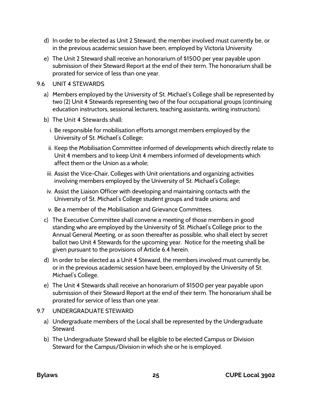- d) In order to be elected as Unit 2 Steward, the member involved must currently be, or in the previous academic session have been, employed by Victoria University.
- e) The Unit 2 Steward shall receive an honorarium of \$1500 per year payable upon submission of their Steward Report at the end of their term. The honorarium shall be prorated for service of less than one year.

#### <span id="page-27-0"></span>9.6 UNIT 4 STEWARDS

- a) Members employed by the University of St. Michael's College shall be represented by two (2) Unit 4 Stewards representing two of the four occupational groups (continuing education instructors, sessional lecturers, teaching assistants, writing instructors).
- b) The Unit 4 Stewards shall:
	- i. Be responsible for mobilisation efforts amongst members employed by the University of St. Michael's College;
	- ii. Keep the Mobilisation Committee informed of developments which directly relate to Unit 4 members and to keep Unit 4 members informed of developments which affect them or the Union as a whole;
- iii. Assist the Vice-Chair, Colleges with Unit orientations and organizing activities involving members employed by the University of St. Michael's College;
- iv. Assist the Liaison Officer with developing and maintaining contacts with the University of St. Michael's College student groups and trade unions; and
- v. Be a member of the Mobilisation and Grievance Committees.
- c) The Executive Committee shall convene a meeting of those members in good standing who are employed by the University of St. Michael's College prior to the Annual General Meeting, or as soon thereafter as possible, who shall elect by secret ballot two Unit 4 Stewards for the upcoming year. Notice for the meeting shall be given pursuant to the provisions of Article 6.4 herein.
- d) In order to be elected as a Unit 4 Steward, the members involved must currently be, or in the previous academic session have been, employed by the University of St. Michael's College.
- e) The Unit 4 Stewards shall receive an honorarium of \$1500 per year payable upon submission of their Steward Report at the end of their term. The honorarium shall be prorated for service of less than one year.

### <span id="page-27-1"></span>9.7 UNDERGRADUATE STEWARD

- a) Undergraduate members of the Local shall be represented by the Undergraduate Steward.
- b) The Undergraduate Steward shall be eligible to be elected Campus or Division Steward for the Campus/Division in which she or he is employed.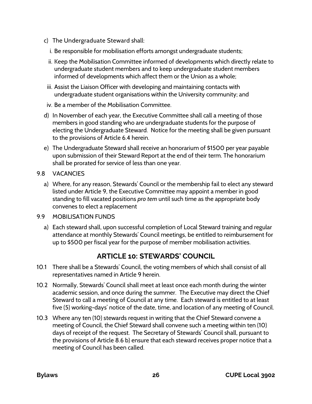- c) The Undergraduate Steward shall:
	- i. Be responsible for mobilisation efforts amongst undergraduate students;
	- ii. Keep the Mobilisation Committee informed of developments which directly relate to undergraduate student members and to keep undergraduate student members informed of developments which affect them or the Union as a whole;
- iii. Assist the Liaison Officer with developing and maintaining contacts with undergraduate student organisations within the University community; and
- iv. Be a member of the Mobilisation Committee.
- d) In November of each year, the Executive Committee shall call a meeting of those members in good standing who are undergraduate students for the purpose of electing the Undergraduate Steward. Notice for the meeting shall be given pursuant to the provisions of Article 6.4 herein.
- e) The Undergraduate Steward shall receive an honorarium of \$1500 per year payable upon submission of their Steward Report at the end of their term. The honorarium shall be prorated for service of less than one year.
- <span id="page-28-0"></span>9.8 VACANCIES
	- a) Where, for any reason, Stewards' Council or the membership fail to elect any steward listed under Article 9, the Executive Committee may appoint a member in good standing to fill vacated positions *pro tem* until such time as the appropriate body convenes to elect a replacement
- <span id="page-28-1"></span>9.9 MOBILISATION FUNDS
	- a) Each steward shall, upon successful completion of Local Steward training and regular attendance at monthly Stewards' Council meetings, be entitled to reimbursement for up to \$500 per fiscal year for the purpose of member mobilisation activities.

# **ARTICLE 10: STEWARDS' COUNCIL**

- <span id="page-28-2"></span>10.1 There shall be a Stewards' Council, the voting members of which shall consist of all representatives named in Article 9 herein.
- 10.2 Normally, Stewards' Council shall meet at least once each month during the winter academic session, and once during the summer. The Executive may direct the Chief Steward to call a meeting of Council at any time. Each steward is entitled to at least five (5) working-days' notice of the date, time, and location of any meeting of Council.
- 10.3 Where any ten (10) stewards request in writing that the Chief Steward convene a meeting of Council, the Chief Steward shall convene such a meeting within ten (10) days of receipt of the request. The Secretary of Stewards' Council shall, pursuant to the provisions of Article 8.6 b) ensure that each steward receives proper notice that a meeting of Council has been called.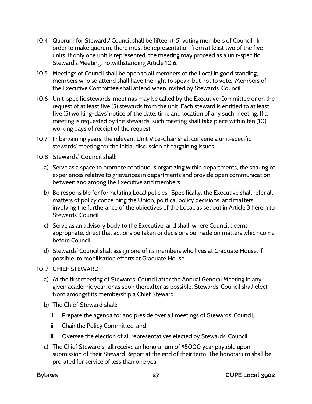- 10.4 Quorum for Stewards' Council shall be fifteen (15) voting members of Council. In order to make quorum, there must be representation from at least two of the five units. If only one unit is represented, the meeting may proceed as a unit-specific Steward's Meeting, notwithstanding Article 10.6.
- 10.5 Meetings of Council shall be open to all members of the Local in good standing; members who so attend shall have the right to speak, but not to vote. Members of the Executive Committee shall attend when invited by Stewards' Council.
- 10.6 Unit-specific stewards' meetings may be called by the Executive Committee or on the request of at least five (5) stewards from the unit. Each steward is entitled to at least five (5) working-days' notice of the date, time and location of any such meeting. If a meeting is requested by the stewards, such meeting shall take place within ten (10) working days of receipt of the request.
- 10.7 In bargaining years, the relevant Unit Vice-Chair shall convene a unit-specific stewards' meeting for the initial discussion of bargaining issues.
- 10.8 Stewards' Council shall:
	- a) Serve as a space to promote continuous organizing within departments, the sharing of experiences relative to grievances in departments and provide open communication between and among the Executive and members.
	- b) Be responsible for formulating Local policies. Specifically, the Executive shall refer all matters of policy concerning the Union, political policy decisions, and matters involving the furtherance of the objectives of the Local, as set out in Article 3 herein to Stewards' Council.
	- c) Serve as an advisory body to the Executive, and shall, where Council deems appropriate, direct that actions be taken or decisions be made on matters which come before Council.
	- d) Stewards' Council shall assign one of its members who lives at Graduate House, if possible, to mobilisation efforts at Graduate House.
- <span id="page-29-0"></span>10.9 CHIEF STEWARD
	- a) At the first meeting of Stewards' Council after the Annual General Meeting in any given academic year, or as soon thereafter as possible, Stewards' Council shall elect from amongst its membership a Chief Steward.
	- b) The Chief Steward shall:
		- i. Prepare the agenda for and preside over all meetings of Stewards' Council;
		- ii. Chair the Policy Committee; and
		- iii. Oversee the election of all representatives elected by Stewards' Council.
	- c) The Chief Steward shall receive an honorarium of \$5000 year payable upon submission of their Steward Report at the end of their term. The honorarium shall be prorated for service of less than one year.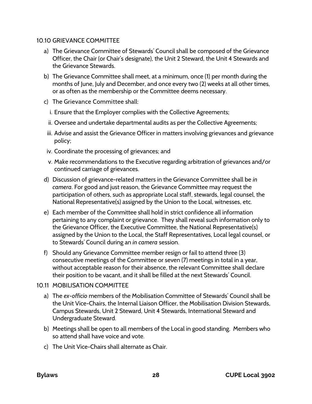#### <span id="page-30-0"></span>10.10 GRIEVANCE COMMITTEE

- a) The Grievance Committee of Stewards' Council shall be composed of the Grievance Officer, the Chair (or Chair's designate), the Unit 2 Steward, the Unit 4 Stewards and the Grievance Stewards.
- b) The Grievance Committee shall meet, at a minimum, once (1) per month during the months of June, July and December, and once every two (2) weeks at all other times, or as often as the membership or the Committee deems necessary.
- c) The Grievance Committee shall:
	- i. Ensure that the Employer complies with the Collective Agreements;
	- ii. Oversee and undertake departmental audits as per the Collective Agreements;
- iii. Advise and assist the Grievance Officer in matters involving grievances and grievance policy;
- iv. Coordinate the processing of grievances; and
- v. Make recommendations to the Executive regarding arbitration of grievances and/or continued carriage of grievances.
- d) Discussion of grievance-related matters in the Grievance Committee shall be *in camera*. For good and just reason, the Grievance Committee may request the participation of others, such as appropriate Local staff, stewards, legal counsel, the National Representative(s) assigned by the Union to the Local, witnesses, etc.
- e) Each member of the Committee shall hold in strict confidence all information pertaining to any complaint or grievance. They shall reveal such information only to the Grievance Officer, the Executive Committee, the National Representative(s) assigned by the Union to the Local, the Staff Representatives, Local legal counsel, or to Stewards' Council during an *in camera* session.
- f) Should any Grievance Committee member resign or fail to attend three (3) consecutive meetings of the Committee or seven (7) meetings in total in a year, without acceptable reason for their absence, the relevant Committee shall declare their position to be vacant, and it shall be filled at the next Stewards' Council.

#### <span id="page-30-1"></span>10.11 MOBILISATION COMMITTEE

- a) The *ex-officio* members of the Mobilisation Committee of Stewards' Council shall be the Unit Vice-Chairs, the Internal Liaison Officer, the Mobilisation Division Stewards, Campus Stewards, Unit 2 Steward, Unit 4 Stewards, International Steward and Undergraduate Steward.
- b) Meetings shall be open to all members of the Local in good standing. Members who so attend shall have voice and vote.
- c) The Unit Vice-Chairs shall alternate as Chair.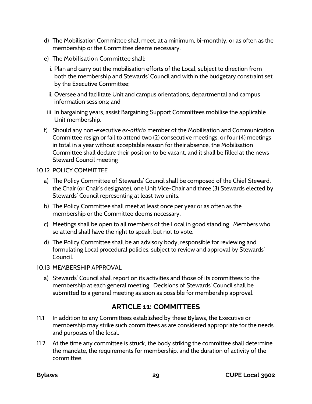- d) The Mobilisation Committee shall meet, at a minimum, bi-monthly, or as often as the membership or the Committee deems necessary.
- e) The Mobilisation Committee shall:
	- i. Plan and carry out the mobilisation efforts of the Local, subject to direction from both the membership and Stewards' Council and within the budgetary constraint set by the Executive Committee;
	- ii. Oversee and facilitate Unit and campus orientations, departmental and campus information sessions; and
- iii. In bargaining years, assist Bargaining Support Committees mobilise the applicable Unit membership.
- f) Should any non-executive *ex-officio* member of the Mobilisation and Communication Committee resign or fail to attend two (2) consecutive meetings, or four (4) meetings in total in a year without acceptable reason for their absence, the Mobilisation Committee shall declare their position to be vacant, and it shall be filled at the news Steward Council meeting

#### <span id="page-31-0"></span>10.12 POLICY COMMITTEE

- a) The Policy Committee of Stewards' Council shall be composed of the Chief Steward, the Chair (or Chair's designate), one Unit Vice-Chair and three (3) Stewards elected by Stewards' Council representing at least two units.
- b) The Policy Committee shall meet at least once per year or as often as the membership or the Committee deems necessary.
- c) Meetings shall be open to all members of the Local in good standing. Members who so attend shall have the right to speak, but not to vote.
- d) The Policy Committee shall be an advisory body, responsible for reviewing and formulating Local procedural policies, subject to review and approval by Stewards' Council.
- <span id="page-31-1"></span>10.13 MEMBERSHIP APPROVAL
	- a) Stewards' Council shall report on its activities and those of its committees to the membership at each general meeting. Decisions of Stewards' Council shall be submitted to a general meeting as soon as possible for membership approval.

# **ARTICLE 11: COMMITTEES**

- <span id="page-31-2"></span>11.1 In addition to any Committees established by these Bylaws, the Executive or membership may strike such committees as are considered appropriate for the needs and purposes of the local.
- 11.2 At the time any committee is struck, the body striking the committee shall determine the mandate, the requirements for membership, and the duration of activity of the committee.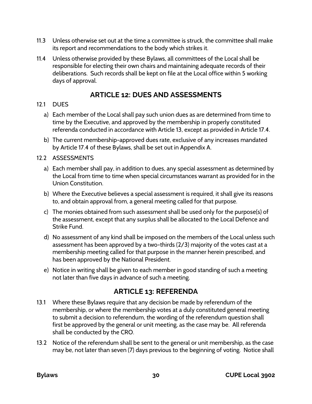- 11.3 Unless otherwise set out at the time a committee is struck, the committee shall make its report and recommendations to the body which strikes it.
- 11.4 Unless otherwise provided by these Bylaws, all committees of the Local shall be responsible for electing their own chairs and maintaining adequate records of their deliberations. Such records shall be kept on file at the Local office within 5 working days of approval.

# **ARTICLE 12: DUES AND ASSESSMENTS**

### <span id="page-32-1"></span><span id="page-32-0"></span>12.1 DUES

- a) Each member of the Local shall pay such union dues as are determined from time to time by the Executive, and approved by the membership in properly constituted referenda conducted in accordance with Article 13, except as provided in Article 17.4.
- b) The current membership-approved dues rate, exclusive of any increases mandated by Article 17.4 of these Bylaws, shall be set out in Appendix A.

### <span id="page-32-2"></span>12.2 ASSESSMENTS

- a) Each member shall pay, in addition to dues, any special assessment as determined by the Local from time to time when special circumstances warrant as provided for in the Union Constitution.
- b) Where the Executive believes a special assessment is required, it shall give its reasons to, and obtain approval from, a general meeting called for that purpose.
- c) The monies obtained from such assessment shall be used only for the purpose(s) of the assessment, except that any surplus shall be allocated to the Local Defence and Strike Fund.
- d) No assessment of any kind shall be imposed on the members of the Local unless such assessment has been approved by a two-thirds (2/3) majority of the votes cast at a membership meeting called for that purpose in the manner herein prescribed, and has been approved by the National President.
- e) Notice in writing shall be given to each member in good standing of such a meeting not later than five days in advance of such a meeting.

# **ARTICLE 13: REFERENDA**

- <span id="page-32-3"></span>13.1 Where these Bylaws require that any decision be made by referendum of the membership, or where the membership votes at a duly constituted general meeting to submit a decision to referendum, the wording of the referendum question shall first be approved by the general or unit meeting, as the case may be. All referenda shall be conducted by the CRO.
- 13.2 Notice of the referendum shall be sent to the general or unit membership, as the case may be, not later than seven (7) days previous to the beginning of voting. Notice shall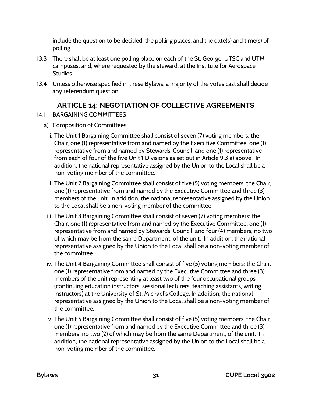include the question to be decided, the polling places, and the date(s) and time(s) of polling.

- 13.3 There shall be at least one polling place on each of the St. George, UTSC and UTM campuses, and, where requested by the steward, at the Institute for Aerospace Studies.
- 13.4 Unless otherwise specified in these Bylaws, a majority of the votes cast shall decide any referendum question.

# **ARTICLE 14: NEGOTIATION OF COLLECTIVE AGREEMENTS**

- <span id="page-33-1"></span><span id="page-33-0"></span>14.1 BARGAINING COMMITTEES
	- a) Composition of Committees:
		- i. The Unit 1 Bargaining Committee shall consist of seven (7) voting members: the Chair, one (1) representative from and named by the Executive Committee, one (1) representative from and named by Stewards' Council, and one (1) representative from each of four of the five Unit 1 Divisions as set out in Article 9.3 a) above. In addition, the national representative assigned by the Union to the Local shall be a non-voting member of the committee.
		- ii. The Unit 2 Bargaining Committee shall consist of five (5) voting members: the Chair, one (1) representative from and named by the Executive Committee and three (3) members of the unit. In addition, the national representative assigned by the Union to the Local shall be a non-voting member of the committee.
		- iii. The Unit 3 Bargaining Committee shall consist of seven (7) voting members: the Chair, one (1) representative from and named by the Executive Committee, one (1) representative from and named by Stewards' Council, and four (4) members, no two of which may be from the same Department, of the unit. In addition, the national representative assigned by the Union to the Local shall be a non-voting member of the committee.
		- iv. The Unit 4 Bargaining Committee shall consist of five (5) voting members: the Chair, one (1) representative from and named by the Executive Committee and three (3) members of the unit representing at least two of the four occupational groups (continuing education instructors, sessional lecturers, teaching assistants, writing instructors) at the University of St. Michael's College. In addition, the national representative assigned by the Union to the Local shall be a non-voting member of the committee.
		- v. The Unit 5 Bargaining Committee shall consist of five (5) voting members: the Chair, one (1) representative from and named by the Executive Committee and three (3) members, no two (2) of which may be from the same Department, of the unit. In addition, the national representative assigned by the Union to the Local shall be a non-voting member of the committee.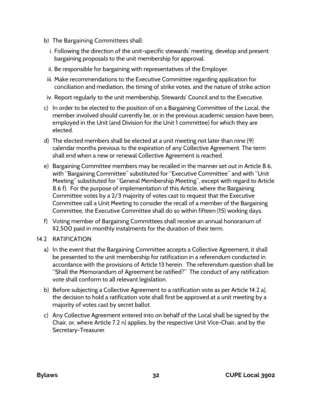- b) The Bargaining Committees shall:
	- i. Following the direction of the unit-specific stewards' meeting, develop and present bargaining proposals to the unit membership for approval.
	- ii. Be responsible for bargaining with representatives of the Employer.
	- iii. Make recommendations to the Executive Committee regarding application for conciliation and mediation, the timing of strike votes, and the nature of strike action
- iv. Report regularly to the unit membership, Stewards' Council and to the Executive.
- c) In order to be elected to the position of on a Bargaining Committee of the Local, the member involved should currently be, or in the previous academic session have been, employed in the Unit (and Division for the Unit 1 committee) for which they are elected.
- d) The elected members shall be elected at a unit meeting not later than nine (9) calendar months previous to the expiration of any Collective Agreement. The term shall end when a new or renewal Collective Agreement is reached.
- e) Bargaining Committee members may be recalled in the manner set out in Article 8.6, with "Bargaining Committee" substituted for "Executive Committee" and with "Unit Meeting" substituted for "General Membership Meeting", except with regard to Article 8.6 f). For the purpose of implementation of this Article, where the Bargaining Committee votes by a 2/3 majority of votes cast to request that the Executive Committee call a Unit Meeting to consider the recall of a member of the Bargaining Committee, the Executive Committee shall do so within fifteen (15) working days.
- f) Voting member of Bargaining Committees shall receive an annual honorarium of \$2,500 paid in monthly instalments for the duration of their term.
- <span id="page-34-1"></span><span id="page-34-0"></span>14.2 RATIFICATION
	- a) In the event that the Bargaining Committee accepts a Collective Agreement, it shall be presented to the unit membership for ratification in a referendum conducted in accordance with the provisions of Article 13 herein. The referendum question shall be "Shall the Memorandum of Agreement be ratified?" The conduct of any ratification vote shall conform to all relevant legislation.
	- b) Before subjecting a Collective Agreement to a ratification vote as per Article 14.2 a), the decision to hold a ratification vote shall first be approved at a unit meeting by a majority of votes cast by secret ballot.
	- c) Any Collective Agreement entered into on behalf of the Local shall be signed by the Chair, or, where Article 7.2 n) applies, by the respective Unit Vice-Chair, and by the Secretary-Treasurer.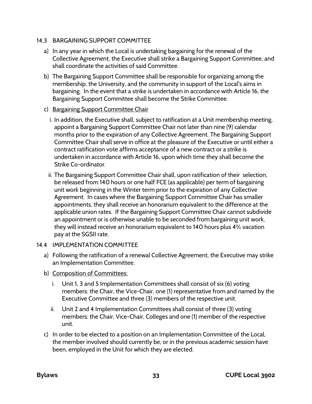### 14.3 BARGAINING SUPPORT COMMITTEE

- a) In any year in which the Local is undertaking bargaining for the renewal of the Collective Agreement, the Executive shall strike a Bargaining Support Committee, and shall coordinate the activities of said Committee.
- b) The Bargaining Support Committee shall be responsible for organizing among the membership, the University, and the community in support of the Local's aims in bargaining. In the event that a strike is undertaken in accordance with Article 16, the Bargaining Support Committee shall become the Strike Committee.
- c) Bargaining Support Committee Chair
	- i. In addition, the Executive shall, subject to ratification at a Unit membership meeting, appoint a Bargaining Support Committee Chair not later than nine (9) calendar months prior to the expiration of any Collective Agreement. The Bargaining Support Committee Chair shall serve in office at the pleasure of the Executive or until either a contract ratification vote affirms acceptance of a new contract or a strike is undertaken in accordance with Article 16, upon which time they shall become the Strike Co-ordinator.
	- ii. The Bargaining Support Committee Chair shall, upon ratification of their selection, be released from 140 hours or one half FCE (as applicable) per term of bargaining unit work beginning in the Winter term prior to the expiration of any Collective Agreement. In cases where the Bargaining Support Committee Chair has smaller appointments, they shall receive an honorarium equivalent to the difference at the applicable union rates. If the Bargaining Support Committee Chair cannot subdivide an appointment or is otherwise unable to be seconded from bargaining unit work, they will instead receive an honorarium equivalent to 140 hours plus 4% vacation pay at the SGSII rate.

### <span id="page-35-0"></span>14.4 IMPLEMENTATION COMMITTEE

- a) Following the ratification of a renewal Collective Agreement, the Executive may strike an Implementation Committee.
- b) Composition of Committees:
	- i. Unit 1, 3 and 5 Implementation Committees shall consist of six (6) voting members: the Chair, the Vice-Chair, one (1) representative from and named by the Executive Committee and three (3) members of the respective unit.
	- ii. Unit 2 and 4 Implementation Committees shall consist of three (3) voting members: the Chair, Vice-Chair, Colleges and one (1) member of the respective unit.
- c) In order to be elected to a position on an Implementation Committee of the Local, the member involved should currently be, or in the previous academic session have been, employed in the Unit for which they are elected.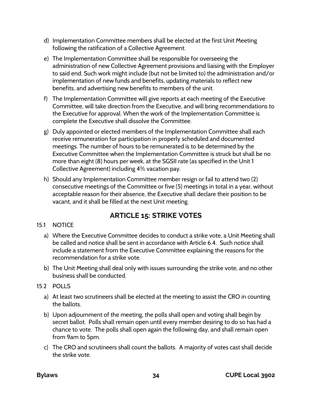- d) Implementation Committee members shall be elected at the first Unit Meeting following the ratification of a Collective Agreement.
- e) The Implementation Committee shall be responsible for overseeing the administration of new Collective Agreement provisions and liaising with the Employer to said end. Such work might include (but not be limited to) the administration and/or implementation of new funds and benefits, updating materials to reflect new benefits, and advertising new benefits to members of the unit.
- f) The Implementation Committee will give reports at each meeting of the Executive Committee, will take direction from the Executive, and will bring recommendations to the Executive for approval. When the work of the Implementation Committee is complete the Executive shall dissolve the Committee.
- g) Duly appointed or elected members of the Implementation Committee shall each receive remuneration for participation in properly scheduled and documented meetings. The number of hours to be remunerated is to be determined by the Executive Committee when the Implementation Committee is struck but shall be no more than eight (8) hours per week, at the SGSII rate (as specified in the Unit 1 Collective Agreement) including 4% vacation pay.
- h) Should any Implementation Committee member resign or fail to attend two (2) consecutive meetings of the Committee or five (5) meetings in total in a year, without acceptable reason for their absence, the Executive shall declare their position to be vacant, and it shall be filled at the next Unit meeting.

# **ARTICLE 15: STRIKE VOTES**

- <span id="page-36-1"></span><span id="page-36-0"></span>15.1 NOTICE
	- a) Where the Executive Committee decides to conduct a strike vote, a Unit Meeting shall be called and notice shall be sent in accordance with Article 6.4. Such notice shall include a statement from the Executive Committee explaining the reasons for the recommendation for a strike vote.
	- b) The Unit Meeting shall deal only with issues surrounding the strike vote, and no other business shall be conducted.
- <span id="page-36-2"></span>15.2 POLLS
	- a) At least two scrutineers shall be elected at the meeting to assist the CRO in counting the ballots.
	- b) Upon adjournment of the meeting, the polls shall open and voting shall begin by secret ballot. Polls shall remain open until every member desiring to do so has had a chance to vote. The polls shall open again the following day, and shall remain open from 9am to 5pm.
	- c) The CRO and scrutineers shall count the ballots. A majority of votes cast shall decide the strike vote.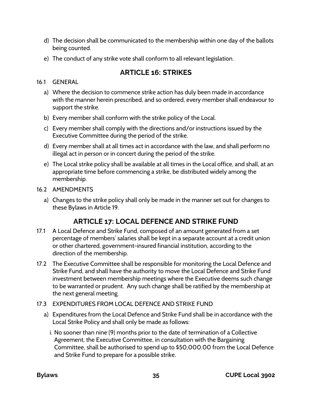- d) The decision shall be communicated to the membership within one day of the ballots being counted.
- <span id="page-37-0"></span>e) The conduct of any strike vote shall conform to all relevant legislation.

# **ARTICLE 16: STRIKES**

#### <span id="page-37-1"></span>16.1 GENERAL

- a) Where the decision to commence strike action has duly been made in accordance with the manner herein prescribed, and so ordered, every member shall endeavour to support the strike.
- b) Every member shall conform with the strike policy of the Local.
- c) Every member shall comply with the directions and/or instructions issued by the Executive Committee during the period of the strike.
- d) Every member shall at all times act in accordance with the law, and shall perform no illegal act in person or in concert during the period of the strike.
- e) The Local strike policy shall be available at all times in the Local office, and shall, at an appropriate time before commencing a strike, be distributed widely among the membership.
- <span id="page-37-2"></span>16.2 AMENDMENTS
	- a) Changes to the strike policy shall only be made in the manner set out for changes to these Bylaws in Article 19.

# **ARTICLE 17: LOCAL DEFENCE AND STRIKE FUND**

- <span id="page-37-3"></span>17.1 A Local Defence and Strike Fund, composed of an amount generated from a set percentage of members' salaries shall be kept in a separate account at a credit union or other chartered, government-insured financial institution, according to the direction of the membership.
- 17.2 The Executive Committee shall be responsible for monitoring the Local Defence and Strike Fund, and shall have the authority to move the Local Defence and Strike Fund investment between membership meetings where the Executive deems such change to be warranted or prudent. Any such change shall be ratified by the membership at the next general meeting.
- <span id="page-37-4"></span>17.3 EXPENDITURES FROM LOCAL DEFENCE AND STRIKE FUND
	- a) Expenditures from the Local Defence and Strike Fund shall be in accordance with the Local Strike Policy and shall only be made as follows:
		- i. No sooner than nine (9) months prior to the date of termination of a Collective Agreement, the Executive Committee, in consultation with the Bargaining Committee, shall be authorised to spend up to \$50,000.00 from the Local Defence and Strike Fund to prepare for a possible strike.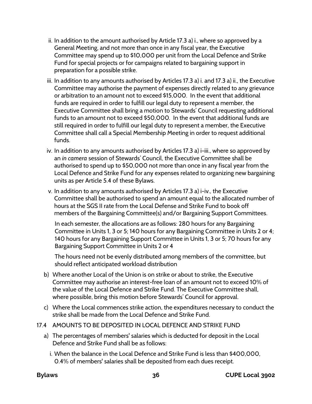- ii. In addition to the amount authorised by Article 17.3 a) i., where so approved by a General Meeting, and not more than once in any fiscal year, the Executive Committee may spend up to \$10,000 per unit from the Local Defence and Strike Fund for special projects or for campaigns related to bargaining support in preparation for a possible strike.
- iii. In addition to any amounts authorised by Articles 17.3 a) i. and 17.3 a) ii., the Executive Committee may authorise the payment of expenses directly related to any grievance or arbitration to an amount not to exceed \$15,000. In the event that additional funds are required in order to fulfill our legal duty to represent a member, the Executive Committee shall bring a motion to Stewards' Council requesting additional funds to an amount not to exceed \$50,000. In the event that additional funds are still required in order to fulfill our legal duty to represent a member, the Executive Committee shall call a Special Membership Meeting in order to request additional funds.
- iv. In addition to any amounts authorised by Articles 17.3 a) i-iii., where so approved by an *in camera* session of Stewards' Council, the Executive Committee shall be authorised to spend up to \$50,000 not more than once in any fiscal year from the Local Defence and Strike Fund for any expenses related to organizing new bargaining units as per Article 5.4 of these Bylaws.
- v. In addition to any amounts authorised by Articles 17.3 a) i-iv., the Executive Committee shall be authorised to spend an amount equal to the allocated number of hours at the SGS II rate from the Local Defense and Strike Fund to book off members of the Bargaining Committee(s) and/or Bargaining Support Committees.

In each semester, the allocations are as follows: 280 hours for any Bargaining Committee in Units 1, 3 or 5; 140 hours for any Bargaining Committee in Units 2 or 4; 140 hours for any Bargaining Support Committee in Units 1, 3 or 5; 70 hours for any Bargaining Support Committee in Units 2 or 4

The hours need not be evenly distributed among members of the committee, but should reflect anticipated workload distribution

- b) Where another Local of the Union is on strike or about to strike, the Executive Committee may authorise an interest-free loan of an amount not to exceed 10% of the value of the Local Defence and Strike Fund. The Executive Committee shall, where possible, bring this motion before Stewards' Council for approval.
- c) Where the Local commences strike action, the expenditures necessary to conduct the strike shall be made from the Local Defence and Strike Fund.
- <span id="page-38-0"></span>17.4 AMOUNTS TO BE DEPOSITED IN LOCAL DEFENCE AND STRIKE FUND
	- a) The percentages of members' salaries which is deducted for deposit in the Local Defence and Strike Fund shall be as follows:
		- i. When the balance in the Local Defence and Strike Fund is less than \$400,000, 0.4% of members' salaries shall be deposited from each dues receipt.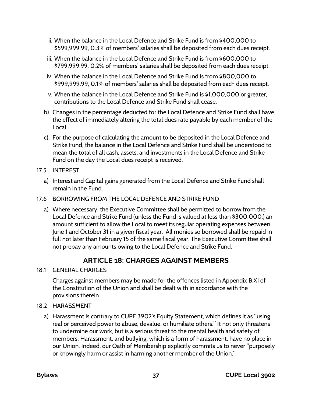- ii. When the balance in the Local Defence and Strike Fund is from \$400,000 to \$599,999.99, 0.3% of members' salaries shall be deposited from each dues receipt.
- iii. When the balance in the Local Defence and Strike Fund is from \$600,000 to \$799,999.99, 0.2% of members' salaries shall be deposited from each dues receipt.
- iv. When the balance in the Local Defence and Strike Fund is from \$800,000 to \$999,999.99, 0.1% of members' salaries shall be deposited from each dues receipt.
- v. When the balance in the Local Defence and Strike Fund is \$1,000,000 or greater, contributions to the Local Defence and Strike Fund shall cease.
- b) Changes in the percentage deducted for the Local Defence and Strike Fund shall have the effect of immediately altering the total dues rate payable by each member of the Local
- c) For the purpose of calculating the amount to be deposited in the Local Defence and Strike Fund, the balance in the Local Defence and Strike Fund shall be understood to mean the total of all cash, assets, and investments in the Local Defence and Strike Fund on the day the Local dues receipt is received.
- <span id="page-39-0"></span>17.5 INTEREST
	- a) Interest and Capital gains generated from the Local Defence and Strike Fund shall remain in the Fund.
- <span id="page-39-1"></span>17.6 BORROWING FROM THE LOCAL DEFENCE AND STRIKE FUND
	- a) Where necessary, the Executive Committee shall be permitted to borrow from the Local Defence and Strike Fund (unless the Fund is valued at less than \$300,000.) an amount sufficient to allow the Local to meet its regular operating expenses between June 1 and October 31 in a given fiscal year. All monies so borrowed shall be repaid in full not later than February 15 of the same fiscal year. The Executive Committee shall not prepay any amounts owing to the Local Defence and Strike Fund.

# **ARTICLE 18: CHARGES AGAINST MEMBERS**

### <span id="page-39-3"></span><span id="page-39-2"></span>18.1 GENERAL CHARGES

Charges against members may be made for the offences listed in Appendix B.XI of the Constitution of the Union and shall be dealt with in accordance with the provisions therein.

- <span id="page-39-4"></span>18.2 HARASSMENT
	- a) Harassment is contrary to CUPE 3902's Equity Statement, which defines it as "using real or perceived power to abuse, devalue, or humiliate others." It not only threatens to undermine our work, but is a serious threat to the mental health and safety of members. Harassment, and bullying, which is a form of harassment, have no place in our Union. Indeed, our Oath of Membership explicitly commits us to never "purposely or knowingly harm or assist in harming another member of the Union."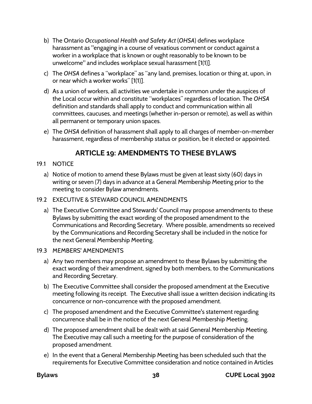- b) The Ontario *Occupational Health and Safety Act* (*OHSA*) defines workplace harassment as "engaging in a course of vexatious comment or conduct against a worker in a workplace that is known or ought reasonably to be known to be unwelcome" and includes workplace sexual harassment [1(1)].
- c) The *OHSA* defines a "workplace" as "any land, premises, location or thing at, upon, in or near which a worker works" [1(1)].
- d) As a union of workers, all activities we undertake in common under the auspices of the Local occur within and constitute "workplaces" regardless of location. The *OHSA* definition and standards shall apply to conduct and communication within all committees, caucuses, and meetings (whether in-person or remote), as well as within all permanent or temporary union spaces.
- e) The *OHSA* definition of harassment shall apply to all charges of member-on-member harassment, regardless of membership status or position, be it elected or appointed.

# **ARTICLE 19: AMENDMENTS TO THESE BYLAWS**

- <span id="page-40-0"></span>19.1 NOTICE
	- a) Notice of motion to amend these Bylaws must be given at least sixty (60) days in writing or seven (7) days in advance at a General Membership Meeting prior to the meeting to consider Bylaw amendments.

### 19.2 EXECUTIVE & STEWARD COUNCIL AMENDMENTS

a) The Executive Committee and Stewards' Council may propose amendments to these Bylaws by submitting the exact wording of the proposed amendment to the Communications and Recording Secretary. Where possible, amendments so received by the Communications and Recording Secretary shall be included in the notice for the next General Membership Meeting.

### 19.3 MEMBERS' AMENDMENTS

- a) Any two members may propose an amendment to these Bylaws by submitting the exact wording of their amendment, signed by both members, to the Communications and Recording Secretary.
- b) The Executive Committee shall consider the proposed amendment at the Executive meeting following its receipt. The Executive shall issue a written decision indicating its concurrence or non-concurrence with the proposed amendment.
- c) The proposed amendment and the Executive Committee's statement regarding concurrence shall be in the notice of the next General Membership Meeting.
- d) The proposed amendment shall be dealt with at said General Membership Meeting. The Executive may call such a meeting for the purpose of consideration of the proposed amendment.
- e) In the event that a General Membership Meeting has been scheduled such that the requirements for Executive Committee consideration and notice contained in Articles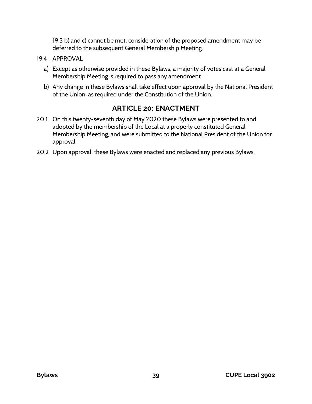19.3 b) and c) cannot be met, consideration of the proposed amendment may be deferred to the subsequent General Membership Meeting.

- 19.4 APPROVAL
	- a) Except as otherwise provided in these Bylaws, a majority of votes cast at a General Membership Meeting is required to pass any amendment.
	- b) Any change in these Bylaws shall take effect upon approval by the National President of the Union, as required under the Constitution of the Union.

### **ARTICLE 20: ENACTMENT**

- <span id="page-41-0"></span>20.1 On this twenty-seventh day of May 2020 these Bylaws were presented to and adopted by the membership of the Local at a properly constituted General Membership Meeting, and were submitted to the National President of the Union for approval.
- 20.2 Upon approval, these Bylaws were enacted and replaced any previous Bylaws.